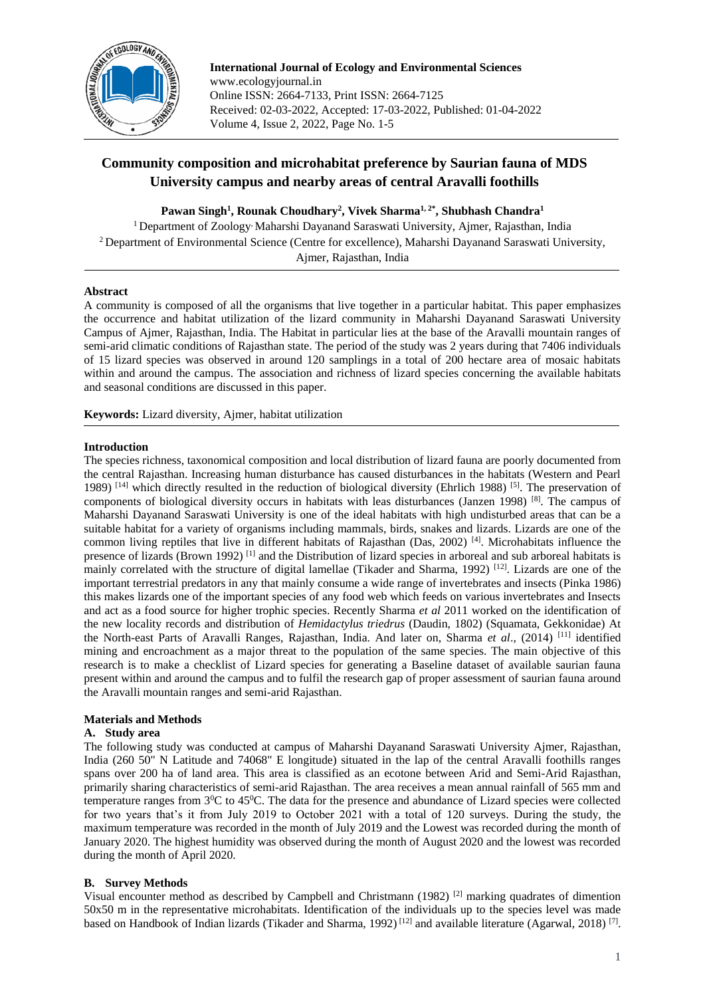

**International Journal of Ecology and Environmental Sciences** www.ecologyjournal.in Online ISSN: 2664-7133, Print ISSN: 2664-7125 Received: 02-03-2022, Accepted: 17-03-2022, Published: 01-04-2022 Volume 4, Issue 2, 2022, Page No. 1-5

# **Community composition and microhabitat preference by Saurian fauna of MDS University campus and nearby areas of central Aravalli foothills**

**Pawan Singh<sup>1</sup> , Rounak Choudhary<sup>2</sup> , Vivek Sharma1, 2\* , Shubhash Chandra<sup>1</sup>**

<sup>1</sup> Department of Zoology<sup>,</sup> Maharshi Dayanand Saraswati University, Ajmer, Rajasthan, India <sup>2</sup> Department of Environmental Science (Centre for excellence), Maharshi Dayanand Saraswati University, Ajmer, Rajasthan, India

## **Abstract**

A community is composed of all the organisms that live together in a particular habitat. This paper emphasizes the occurrence and habitat utilization of the lizard community in Maharshi Dayanand Saraswati University Campus of Ajmer, Rajasthan, India. The Habitat in particular lies at the base of the Aravalli mountain ranges of semi-arid climatic conditions of Rajasthan state. The period of the study was 2 years during that 7406 individuals of 15 lizard species was observed in around 120 samplings in a total of 200 hectare area of mosaic habitats within and around the campus. The association and richness of lizard species concerning the available habitats and seasonal conditions are discussed in this paper.

**Keywords:** Lizard diversity, Ajmer, habitat utilization

## **Introduction**

The species richness, taxonomical composition and local distribution of lizard fauna are poorly documented from the central Rajasthan. Increasing human disturbance has caused disturbances in the habitats (Western and Pearl 1989) [14] which directly resulted in the reduction of biological diversity (Ehrlich 1988) [5]. The preservation of components of biological diversity occurs in habitats with leas disturbances (Janzen 1998) [8]. The campus of Maharshi Dayanand Saraswati University is one of the ideal habitats with high undisturbed areas that can be a suitable habitat for a variety of organisms including mammals, birds, snakes and lizards. Lizards are one of the common living reptiles that live in different habitats of Rajasthan (Das, 2002) [4]. Microhabitats influence the presence of lizards (Brown 1992) [1] and the Distribution of lizard species in arboreal and sub arboreal habitats is mainly correlated with the structure of digital lamellae (Tikader and Sharma, 1992)<sup>[12]</sup>. Lizards are one of the important terrestrial predators in any that mainly consume a wide range of invertebrates and insects (Pinka 1986) this makes lizards one of the important species of any food web which feeds on various invertebrates and Insects and act as a food source for higher trophic species. Recently Sharma *et al* 2011 worked on the identification of the new locality records and distribution of *Hemidactylus triedrus* (Daudin, 1802) (Squamata, Gekkonidae) At the North-east Parts of Aravalli Ranges, Rajasthan, India. And later on, Sharma *et al*., (2014) [11] identified mining and encroachment as a major threat to the population of the same species. The main objective of this research is to make a checklist of Lizard species for generating a Baseline dataset of available saurian fauna present within and around the campus and to fulfil the research gap of proper assessment of saurian fauna around the Aravalli mountain ranges and semi-arid Rajasthan.

## **Materials and Methods**

## **A. Study area**

The following study was conducted at campus of Maharshi Dayanand Saraswati University Ajmer, Rajasthan, India (260 50" N Latitude and 74068" E longitude) situated in the lap of the central Aravalli foothills ranges spans over 200 ha of land area. This area is classified as an ecotone between Arid and Semi-Arid Rajasthan, primarily sharing characteristics of semi-arid Rajasthan. The area receives a mean annual rainfall of 565 mm and temperature ranges from  $3^{\circ}$ C to  $45^{\circ}$ C. The data for the presence and abundance of Lizard species were collected for two years that's it from July 2019 to October 2021 with a total of 120 surveys. During the study, the maximum temperature was recorded in the month of July 2019 and the Lowest was recorded during the month of January 2020. The highest humidity was observed during the month of August 2020 and the lowest was recorded during the month of April 2020.

## **B. Survey Methods**

Visual encounter method as described by Campbell and Christmann (1982) [2] marking quadrates of dimention 50x50 m in the representative microhabitats. Identification of the individuals up to the species level was made based on Handbook of Indian lizards (Tikader and Sharma, 1992)<sup>[12]</sup> and available literature (Agarwal, 2018)<sup>[7]</sup>.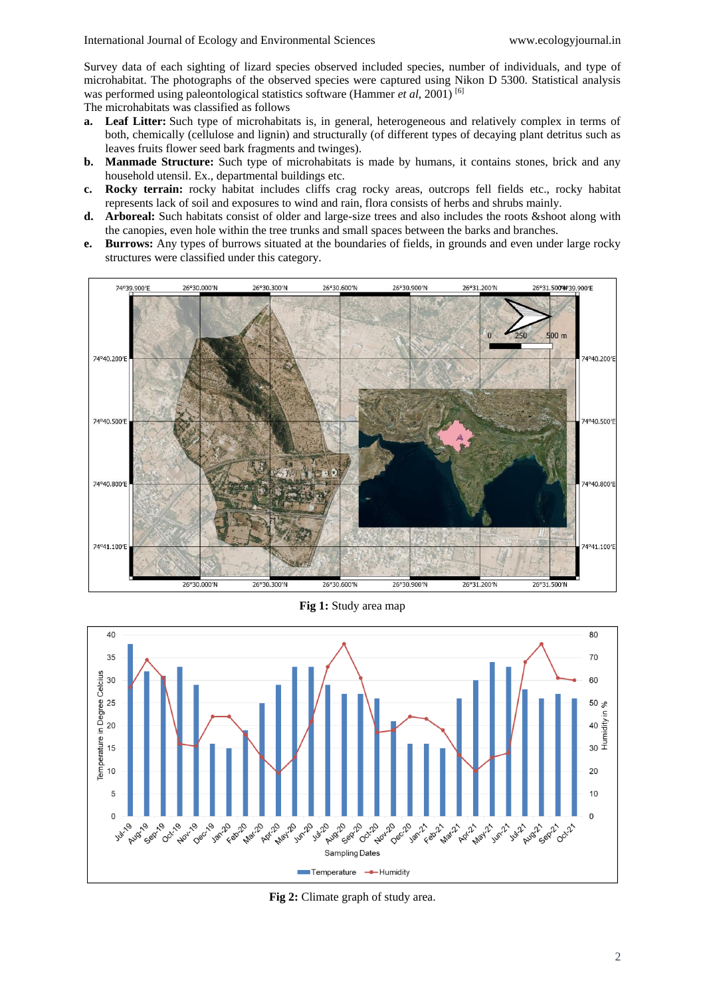Survey data of each sighting of lizard species observed included species, number of individuals, and type of microhabitat. The photographs of the observed species were captured using Nikon D 5300. Statistical analysis was performed using paleontological statistics software (Hammer *et al*, 2001) [6]

The microhabitats was classified as follows

- **a. Leaf Litter:** Such type of microhabitats is, in general, heterogeneous and relatively complex in terms of both, chemically (cellulose and lignin) and structurally (of different types of decaying plant detritus such as leaves fruits flower seed bark fragments and twinges).
- **b. Manmade Structure:** Such type of microhabitats is made by humans, it contains stones, brick and any household utensil. Ex., departmental buildings etc.
- **c. Rocky terrain:** rocky habitat includes cliffs crag rocky areas, outcrops fell fields etc., rocky habitat represents lack of soil and exposures to wind and rain, flora consists of herbs and shrubs mainly.
- **d. Arboreal:** Such habitats consist of older and large-size trees and also includes the roots &shoot along with the canopies, even hole within the tree trunks and small spaces between the barks and branches.
- **e. Burrows:** Any types of burrows situated at the boundaries of fields, in grounds and even under large rocky structures were classified under this category.



**Fig 1:** Study area map



**Fig 2:** Climate graph of study area.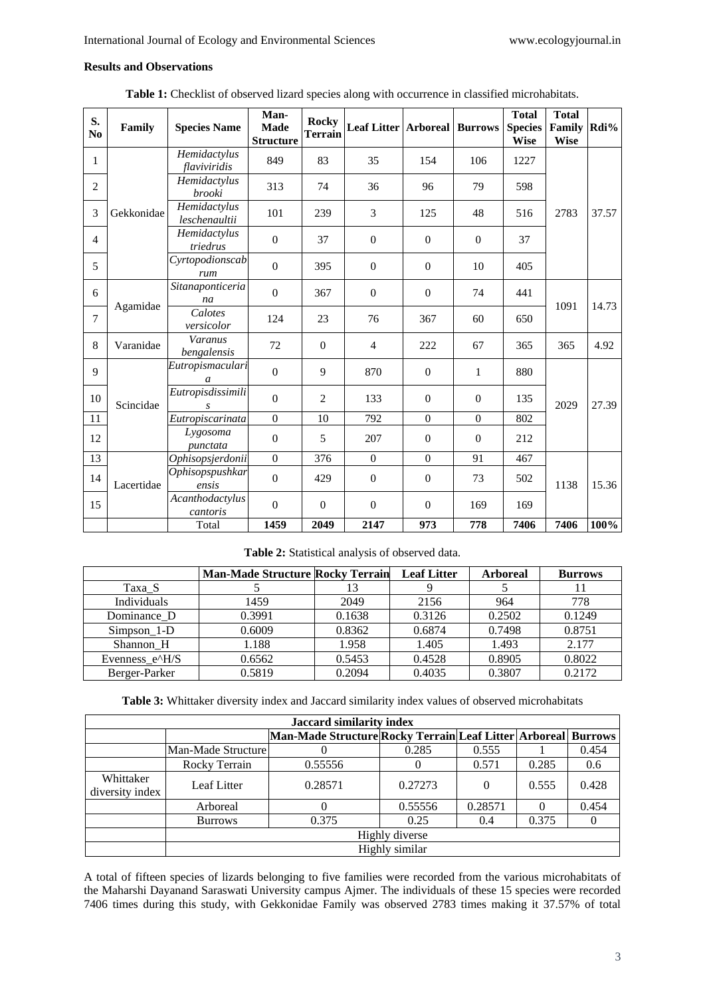# **Results and Observations**

| S.<br>N <sub>0</sub> | Family     | <b>Species Name</b>                | Man-<br><b>Made</b><br><b>Structure</b> | <b>Rocky</b><br><b>Terrain</b> | <b>Leaf Litter   Arboreal   Burrows</b> |                  |                  | <b>Total</b><br><b>Species</b><br><b>Wise</b> | <b>Total</b><br>Family<br><b>Wise</b> | Rdi%  |
|----------------------|------------|------------------------------------|-----------------------------------------|--------------------------------|-----------------------------------------|------------------|------------------|-----------------------------------------------|---------------------------------------|-------|
| $\mathbf{1}$         | Gekkonidae | Hemidactylus<br>flaviviridis       | 849                                     | 83                             | 35                                      | 154              | 106              | 1227                                          | 2783                                  | 37.57 |
| $\overline{c}$       |            | Hemidactylus<br>brooki             | 313                                     | 74                             | 36                                      | 96               | 79               | 598                                           |                                       |       |
| 3                    |            | Hemidactylus<br>leschenaultii      | 101                                     | 239                            | 3                                       | 125              | 48               | 516                                           |                                       |       |
| $\overline{4}$       |            | Hemidactylus<br>triedrus           | $\boldsymbol{0}$                        | 37                             | $\mathbf{0}$                            | $\mathbf{0}$     | $\mathbf{0}$     | 37                                            |                                       |       |
| 5                    |            | Cyrtopodionscab<br>rum             | $\mathbf{0}$                            | 395                            | $\mathbf{0}$                            | $\mathbf{0}$     | 10               | 405                                           |                                       |       |
| 6                    | Agamidae   | Sitanaponticeria<br>na             | $\Omega$                                | 367                            | $\mathbf{0}$                            | $\Omega$         | 74               | 441                                           | 1091                                  | 14.73 |
| $\tau$               |            | Calotes<br>versicolor              | 124                                     | 23                             | 76                                      | 367              | 60               | 650                                           |                                       |       |
| 8                    | Varanidae  | Varanus<br>bengalensis             | 72                                      | $\Omega$                       | $\overline{4}$                          | 222              | 67               | 365                                           | 365                                   | 4.92  |
| $\mathbf{Q}$         | Scincidae  | Eutropismaculari<br>$\mathfrak{a}$ | $\Omega$                                | 9                              | 870                                     | $\mathbf{0}$     | 1                | 880                                           | 2029                                  | 27.39 |
| 10                   |            | Eutropisdissimili<br>S             | $\Omega$                                | $\overline{2}$                 | 133                                     | $\Omega$         | $\Omega$         | 135                                           |                                       |       |
| 11                   |            | Eutropiscarinata                   | $\boldsymbol{0}$                        | 10                             | 792                                     | $\boldsymbol{0}$ | $\boldsymbol{0}$ | 802                                           |                                       |       |
| 12                   |            | Lygosoma<br>punctata               | $\mathbf{0}$                            | 5                              | 207                                     | $\theta$         | $\Omega$         | 212                                           |                                       |       |
| 13                   | Lacertidae | Ophisopsjerdonii                   | $\mathbf{0}$                            | 376                            | $\mathbf{0}$                            | $\mathbf{0}$     | 91               | 467                                           | 1138                                  | 15.36 |
| 14                   |            | Ophisopspushkar<br>ensis           | $\mathbf{0}$                            | 429                            | $\mathbf{0}$                            | $\mathbf{0}$     | 73               | 502                                           |                                       |       |
| 15                   |            | Acanthodactylus<br>cantoris        | $\Omega$                                | $\Omega$                       | $\boldsymbol{0}$                        | $\theta$         | 169              | 169                                           |                                       |       |
|                      |            | Total                              | 1459                                    | 2049                           | 2147                                    | 973              | 778              | 7406                                          | 7406                                  | 100%  |

**Table 1:** Checklist of observed lizard species along with occurrence in classified microhabitats.

**Table 2:** Statistical analysis of observed data.

|                | <b>Man-Made Structure Rocky Terrain</b> |        | <b>Leaf Litter</b> | <b>Arboreal</b> | <b>Burrows</b> |
|----------------|-----------------------------------------|--------|--------------------|-----------------|----------------|
| Taxa S         |                                         |        |                    |                 |                |
| Individuals    | 1459                                    | 2049   | 2156               | 964             | 778            |
| Dominance D    | 0.3991                                  | 0.1638 | 0.3126             | 0.2502          | 0.1249         |
| Simpson 1-D    | 0.6009                                  | 0.8362 | 0.6874             | 0.7498          | 0.8751         |
| Shannon H      | 1.188                                   | 1.958  | 1.405              | 1.493           | 2.177          |
| Evenness_e^H/S | 0.6562                                  | 0.5453 | 0.4528             | 0.8905          | 0.8022         |
| Berger-Parker  | 0.5819                                  | 0.2094 | 0.4035             | 0.3807          | 0.2172         |

**Table 3:** Whittaker diversity index and Jaccard similarity index values of observed microhabitats

| <b>Jaccard similarity index</b> |                     |                                                               |         |          |       |       |  |  |
|---------------------------------|---------------------|---------------------------------------------------------------|---------|----------|-------|-------|--|--|
|                                 |                     | Man-Made Structure Rocky Terrain Leaf Litter Arboreal Burrows |         |          |       |       |  |  |
|                                 | Man-Made Structurel |                                                               | 0.285   | 0.555    |       | 0.454 |  |  |
|                                 | Rocky Terrain       | 0.55556                                                       |         | 0.571    | 0.285 | 0.6   |  |  |
| Whittaker<br>diversity index    | Leaf Litter         | 0.28571                                                       | 0.27273 | $\Omega$ | 0.555 | 0.428 |  |  |
|                                 | Arboreal            |                                                               | 0.55556 | 0.28571  |       | 0.454 |  |  |
|                                 | <b>Burrows</b>      | 0.375                                                         | 0.25    | 0.4      | 0.375 |       |  |  |
|                                 | Highly diverse      |                                                               |         |          |       |       |  |  |
|                                 | Highly similar      |                                                               |         |          |       |       |  |  |

A total of fifteen species of lizards belonging to five families were recorded from the various microhabitats of the Maharshi Dayanand Saraswati University campus Ajmer. The individuals of these 15 species were recorded 7406 times during this study, with Gekkonidae Family was observed 2783 times making it 37.57% of total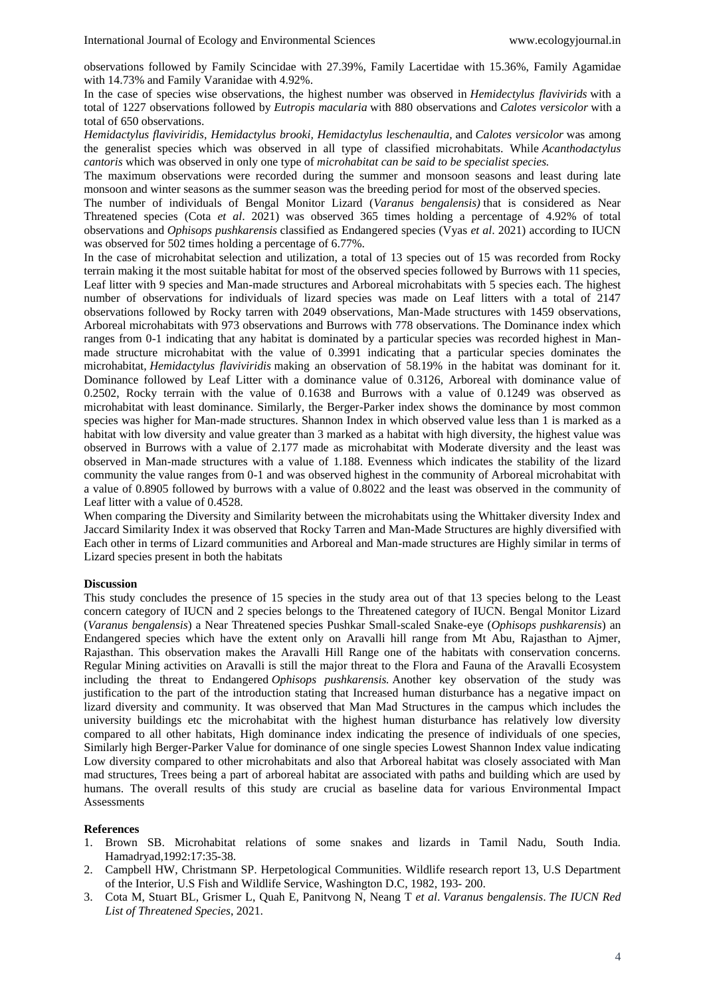observations followed by Family Scincidae with 27.39%, Family Lacertidae with 15.36%, Family Agamidae with 14.73% and Family Varanidae with 4.92%.

In the case of species wise observations, the highest number was observed in *Hemidectylus flavivirids* with a total of 1227 observations followed by *Eutropis macularia* with 880 observations and *Calotes versicolor* with a total of 650 observations.

*Hemidactylus flaviviridis, Hemidactylus brooki, Hemidactylus leschenaultia,* and *Calotes versicolor* was among the generalist species which was observed in all type of classified microhabitats. While *Acanthodactylus cantoris* which was observed in only one type of *microhabitat can be said to be specialist species.*

The maximum observations were recorded during the summer and monsoon seasons and least during late monsoon and winter seasons as the summer season was the breeding period for most of the observed species.

The number of individuals of Bengal Monitor Lizard (*Varanus bengalensis)* that is considered as Near Threatened species (Cota *et al*. 2021) was observed 365 times holding a percentage of 4.92% of total observations and *Ophisops pushkarensis* classified as Endangered species (Vyas *et al*. 2021) according to IUCN was observed for 502 times holding a percentage of 6.77%.

In the case of microhabitat selection and utilization, a total of 13 species out of 15 was recorded from Rocky terrain making it the most suitable habitat for most of the observed species followed by Burrows with 11 species, Leaf litter with 9 species and Man-made structures and Arboreal microhabitats with 5 species each. The highest number of observations for individuals of lizard species was made on Leaf litters with a total of 2147 observations followed by Rocky tarren with 2049 observations, Man-Made structures with 1459 observations, Arboreal microhabitats with 973 observations and Burrows with 778 observations. The Dominance index which ranges from 0-1 indicating that any habitat is dominated by a particular species was recorded highest in Manmade structure microhabitat with the value of 0.3991 indicating that a particular species dominates the microhabitat, *Hemidactylus flaviviridis* making an observation of 58.19% in the habitat was dominant for it. Dominance followed by Leaf Litter with a dominance value of 0.3126, Arboreal with dominance value of 0.2502, Rocky terrain with the value of 0.1638 and Burrows with a value of 0.1249 was observed as microhabitat with least dominance. Similarly, the Berger-Parker index shows the dominance by most common species was higher for Man-made structures. Shannon Index in which observed value less than 1 is marked as a habitat with low diversity and value greater than 3 marked as a habitat with high diversity, the highest value was observed in Burrows with a value of 2.177 made as microhabitat with Moderate diversity and the least was observed in Man-made structures with a value of 1.188. Evenness which indicates the stability of the lizard community the value ranges from 0-1 and was observed highest in the community of Arboreal microhabitat with a value of 0.8905 followed by burrows with a value of 0.8022 and the least was observed in the community of Leaf litter with a value of 0.4528.

When comparing the Diversity and Similarity between the microhabitats using the Whittaker diversity Index and Jaccard Similarity Index it was observed that Rocky Tarren and Man-Made Structures are highly diversified with Each other in terms of Lizard communities and Arboreal and Man-made structures are Highly similar in terms of Lizard species present in both the habitats

### **Discussion**

This study concludes the presence of 15 species in the study area out of that 13 species belong to the Least concern category of IUCN and 2 species belongs to the Threatened category of IUCN. Bengal Monitor Lizard (*Varanus bengalensis*) a Near Threatened species Pushkar Small-scaled Snake-eye (*Ophisops pushkarensis*) an Endangered species which have the extent only on Aravalli hill range from Mt Abu, Rajasthan to Ajmer, Rajasthan. This observation makes the Aravalli Hill Range one of the habitats with conservation concerns. Regular Mining activities on Aravalli is still the major threat to the Flora and Fauna of the Aravalli Ecosystem including the threat to Endangered *Ophisops pushkarensis.* Another key observation of the study was justification to the part of the introduction stating that Increased human disturbance has a negative impact on lizard diversity and community. It was observed that Man Mad Structures in the campus which includes the university buildings etc the microhabitat with the highest human disturbance has relatively low diversity compared to all other habitats, High dominance index indicating the presence of individuals of one species, Similarly high Berger-Parker Value for dominance of one single species Lowest Shannon Index value indicating Low diversity compared to other microhabitats and also that Arboreal habitat was closely associated with Man mad structures, Trees being a part of arboreal habitat are associated with paths and building which are used by humans. The overall results of this study are crucial as baseline data for various Environmental Impact **Assessments** 

### **References**

- 1. Brown SB. Microhabitat relations of some snakes and lizards in Tamil Nadu, South India. Hamadryad,1992:17:35-38.
- 2. Campbell HW, Christmann SP. Herpetological Communities. Wildlife research report 13, U.S Department of the Interior, U.S Fish and Wildlife Service, Washington D.C, 1982, 193- 200.
- 3. Cota M, Stuart BL, Grismer L, Quah E, Panitvong N, Neang T *et al*. *Varanus bengalensis*. *The IUCN Red List of Threatened Species*, 2021.